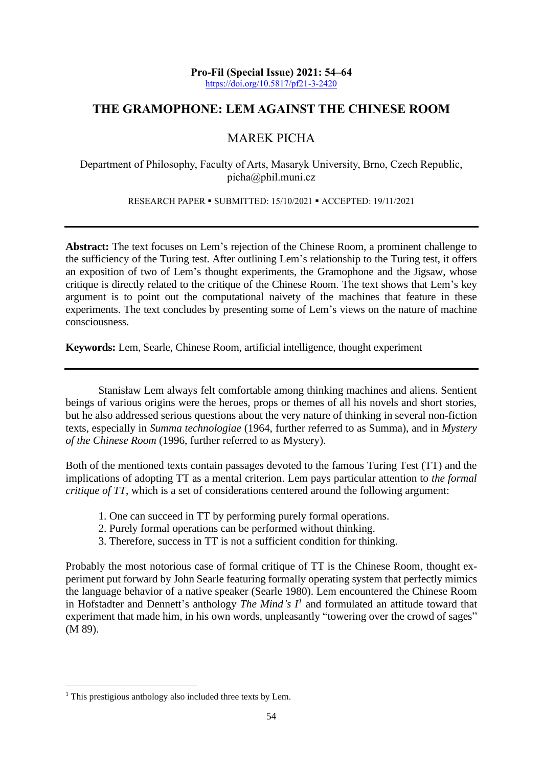**Pro-Fil (Special Issue) 2021: 54–64** <https://doi.org/10.5817/pf21-3-2420>

# **THE GRAMOPHONE: LEM AGAINST THE CHINESE ROOM**

# MAREK PICHA

Department of Philosophy, Faculty of Arts, Masaryk University, Brno, Czech Republic, picha@phil.muni.cz

RESEARCH PAPER ▪ SUBMITTED: 15/10/2021 ▪ ACCEPTED: 19/11/2021

**Abstract:** The text focuses on Lem's rejection of the Chinese Room, a prominent challenge to the sufficiency of the Turing test. After outlining Lem's relationship to the Turing test, it offers an exposition of two of Lem's thought experiments, the Gramophone and the Jigsaw, whose critique is directly related to the critique of the Chinese Room. The text shows that Lem's key argument is to point out the computational naivety of the machines that feature in these experiments. The text concludes by presenting some of Lem's views on the nature of machine consciousness.

**Keywords:** Lem, Searle, Chinese Room, artificial intelligence, thought experiment

Stanisław Lem always felt comfortable among thinking machines and aliens. Sentient beings of various origins were the heroes, props or themes of all his novels and short stories, but he also addressed serious questions about the very nature of thinking in several non-fiction texts, especially in *Summa technologiae* (1964, further referred to as Summa), and in *Mystery of the Chinese Room* (1996, further referred to as Mystery).

Both of the mentioned texts contain passages devoted to the famous Turing Test (TT) and the implications of adopting TT as a mental criterion. Lem pays particular attention to *the formal critique of TT*, which is a set of considerations centered around the following argument:

- 1. One can succeed in TT by performing purely formal operations.
- 2. Purely formal operations can be performed without thinking.
- 3. Therefore, success in TT is not a sufficient condition for thinking.

Probably the most notorious case of formal critique of TT is the Chinese Room, thought experiment put forward by John Searle featuring formally operating system that perfectly mimics the language behavior of a native speaker (Searle 1980). Lem encountered the Chinese Room in Hofstadter and Dennett's anthology *The Mind's*  $I<sup>1</sup>$  and formulated an attitude toward that experiment that made him, in his own words, unpleasantly "towering over the crowd of sages" (M 89).

<sup>&</sup>lt;sup>1</sup> This prestigious anthology also included three texts by Lem.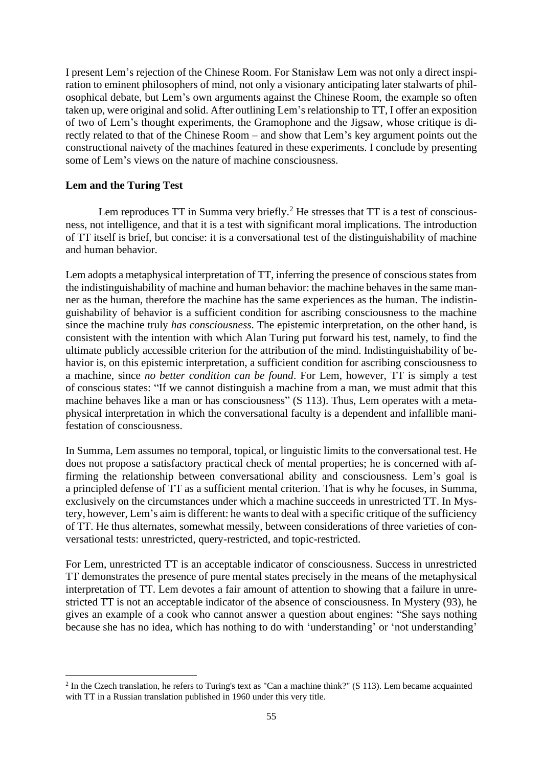I present Lem's rejection of the Chinese Room. For Stanisław Lem was not only a direct inspiration to eminent philosophers of mind, not only a visionary anticipating later stalwarts of philosophical debate, but Lem's own arguments against the Chinese Room, the example so often taken up, were original and solid. After outlining Lem's relationship to TT, I offer an exposition of two of Lem's thought experiments, the Gramophone and the Jigsaw, whose critique is directly related to that of the Chinese Room – and show that Lem's key argument points out the constructional naivety of the machines featured in these experiments. I conclude by presenting some of Lem's views on the nature of machine consciousness.

#### **Lem and the Turing Test**

Lem reproduces  $TT$  in Summa very briefly.<sup>2</sup> He stresses that  $TT$  is a test of consciousness, not intelligence, and that it is a test with significant moral implications. The introduction of TT itself is brief, but concise: it is a conversational test of the distinguishability of machine and human behavior.

Lem adopts a metaphysical interpretation of TT, inferring the presence of conscious states from the indistinguishability of machine and human behavior: the machine behaves in the same manner as the human, therefore the machine has the same experiences as the human. The indistinguishability of behavior is a sufficient condition for ascribing consciousness to the machine since the machine truly *has consciousness*. The epistemic interpretation, on the other hand, is consistent with the intention with which Alan Turing put forward his test, namely, to find the ultimate publicly accessible criterion for the attribution of the mind. Indistinguishability of behavior is, on this epistemic interpretation, a sufficient condition for ascribing consciousness to a machine, since *no better condition can be found*. For Lem, however, TT is simply a test of conscious states: "If we cannot distinguish a machine from a man, we must admit that this machine behaves like a man or has consciousness" (S 113). Thus, Lem operates with a metaphysical interpretation in which the conversational faculty is a dependent and infallible manifestation of consciousness.

In Summa, Lem assumes no temporal, topical, or linguistic limits to the conversational test. He does not propose a satisfactory practical check of mental properties; he is concerned with affirming the relationship between conversational ability and consciousness. Lem's goal is a principled defense of TT as a sufficient mental criterion. That is why he focuses, in Summa, exclusively on the circumstances under which a machine succeeds in unrestricted TT. In Mystery, however, Lem's aim is different: he wants to deal with a specific critique of the sufficiency of TT. He thus alternates, somewhat messily, between considerations of three varieties of conversational tests: unrestricted, query-restricted, and topic-restricted.

For Lem, unrestricted TT is an acceptable indicator of consciousness. Success in unrestricted TT demonstrates the presence of pure mental states precisely in the means of the metaphysical interpretation of TT. Lem devotes a fair amount of attention to showing that a failure in unrestricted TT is not an acceptable indicator of the absence of consciousness. In Mystery (93), he gives an example of a cook who cannot answer a question about engines: "She says nothing because she has no idea, which has nothing to do with 'understanding' or 'not understanding'

 $2$  In the Czech translation, he refers to Turing's text as "Can a machine think?" (S 113). Lem became acquainted with TT in a Russian translation published in 1960 under this very title.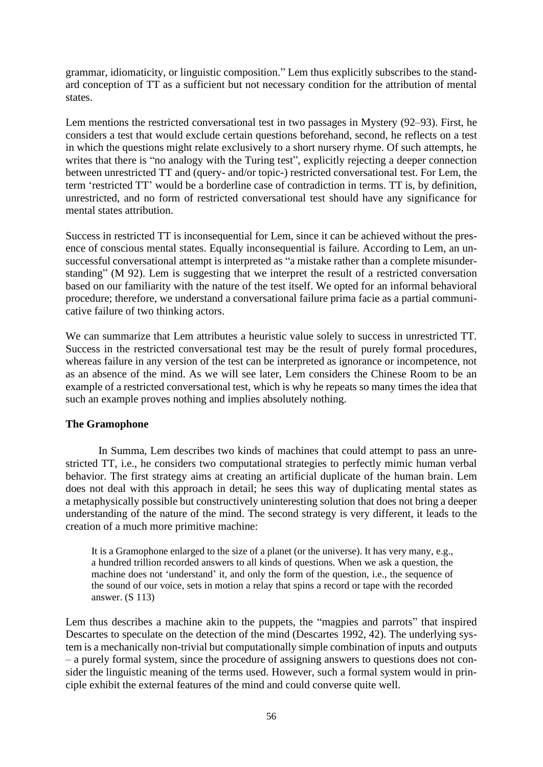grammar, idiomaticity, or linguistic composition." Lem thus explicitly subscribes to the standard conception of TT as a sufficient but not necessary condition for the attribution of mental states.

Lem mentions the restricted conversational test in two passages in Mystery (92–93). First, he considers a test that would exclude certain questions beforehand, second, he reflects on a test in which the questions might relate exclusively to a short nursery rhyme. Of such attempts, he writes that there is "no analogy with the Turing test", explicitly rejecting a deeper connection between unrestricted TT and (query- and/or topic-) restricted conversational test. For Lem, the term 'restricted TT' would be a borderline case of contradiction in terms. TT is, by definition, unrestricted, and no form of restricted conversational test should have any significance for mental states attribution.

Success in restricted TT is inconsequential for Lem, since it can be achieved without the presence of conscious mental states. Equally inconsequential is failure. According to Lem, an unsuccessful conversational attempt is interpreted as "a mistake rather than a complete misunderstanding" (M 92). Lem is suggesting that we interpret the result of a restricted conversation based on our familiarity with the nature of the test itself. We opted for an informal behavioral procedure; therefore, we understand a conversational failure prima facie as a partial communicative failure of two thinking actors.

We can summarize that Lem attributes a heuristic value solely to success in unrestricted TT. Success in the restricted conversational test may be the result of purely formal procedures, whereas failure in any version of the test can be interpreted as ignorance or incompetence, not as an absence of the mind. As we will see later, Lem considers the Chinese Room to be an example of a restricted conversational test, which is why he repeats so many times the idea that such an example proves nothing and implies absolutely nothing.

## **The Gramophone**

In Summa, Lem describes two kinds of machines that could attempt to pass an unrestricted TT, i.e., he considers two computational strategies to perfectly mimic human verbal behavior. The first strategy aims at creating an artificial duplicate of the human brain. Lem does not deal with this approach in detail; he sees this way of duplicating mental states as a metaphysically possible but constructively uninteresting solution that does not bring a deeper understanding of the nature of the mind. The second strategy is very different, it leads to the creation of a much more primitive machine:

It is a Gramophone enlarged to the size of a planet (or the universe). It has very many, e.g., a hundred trillion recorded answers to all kinds of questions. When we ask a question, the machine does not 'understand' it, and only the form of the question, i.e., the sequence of the sound of our voice, sets in motion a relay that spins a record or tape with the recorded answer. (S 113)

Lem thus describes a machine akin to the puppets, the "magpies and parrots" that inspired Descartes to speculate on the detection of the mind (Descartes 1992, 42). The underlying system is a mechanically non-trivial but computationally simple combination of inputs and outputs – a purely formal system, since the procedure of assigning answers to questions does not consider the linguistic meaning of the terms used. However, such a formal system would in principle exhibit the external features of the mind and could converse quite well.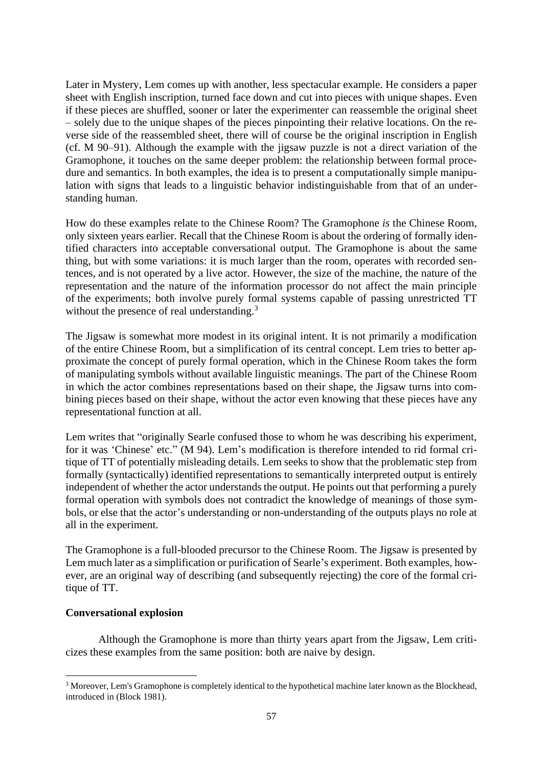Later in Mystery, Lem comes up with another, less spectacular example. He considers a paper sheet with English inscription, turned face down and cut into pieces with unique shapes. Even if these pieces are shuffled, sooner or later the experimenter can reassemble the original sheet – solely due to the unique shapes of the pieces pinpointing their relative locations. On the reverse side of the reassembled sheet, there will of course be the original inscription in English (cf. M 90–91). Although the example with the jigsaw puzzle is not a direct variation of the Gramophone, it touches on the same deeper problem: the relationship between formal procedure and semantics. In both examples, the idea is to present a computationally simple manipulation with signs that leads to a linguistic behavior indistinguishable from that of an understanding human.

How do these examples relate to the Chinese Room? The Gramophone *is* the Chinese Room, only sixteen years earlier. Recall that the Chinese Room is about the ordering of formally identified characters into acceptable conversational output. The Gramophone is about the same thing, but with some variations: it is much larger than the room, operates with recorded sentences, and is not operated by a live actor. However, the size of the machine, the nature of the representation and the nature of the information processor do not affect the main principle of the experiments; both involve purely formal systems capable of passing unrestricted TT without the presence of real understanding.<sup>3</sup>

The Jigsaw is somewhat more modest in its original intent. It is not primarily a modification of the entire Chinese Room, but a simplification of its central concept. Lem tries to better approximate the concept of purely formal operation, which in the Chinese Room takes the form of manipulating symbols without available linguistic meanings. The part of the Chinese Room in which the actor combines representations based on their shape, the Jigsaw turns into combining pieces based on their shape, without the actor even knowing that these pieces have any representational function at all.

Lem writes that "originally Searle confused those to whom he was describing his experiment, for it was 'Chinese' etc." (M 94). Lem's modification is therefore intended to rid formal critique of TT of potentially misleading details. Lem seeks to show that the problematic step from formally (syntactically) identified representations to semantically interpreted output is entirely independent of whether the actor understands the output. He points out that performing a purely formal operation with symbols does not contradict the knowledge of meanings of those symbols, or else that the actor's understanding or non-understanding of the outputs plays no role at all in the experiment.

The Gramophone is a full-blooded precursor to the Chinese Room. The Jigsaw is presented by Lem much later as a simplification or purification of Searle's experiment. Both examples, however, are an original way of describing (and subsequently rejecting) the core of the formal critique of TT.

### **Conversational explosion**

Although the Gramophone is more than thirty years apart from the Jigsaw, Lem criticizes these examples from the same position: both are naive by design.

<sup>&</sup>lt;sup>3</sup> Moreover, Lem's Gramophone is completely identical to the hypothetical machine later known as the Blockhead, introduced in (Block 1981).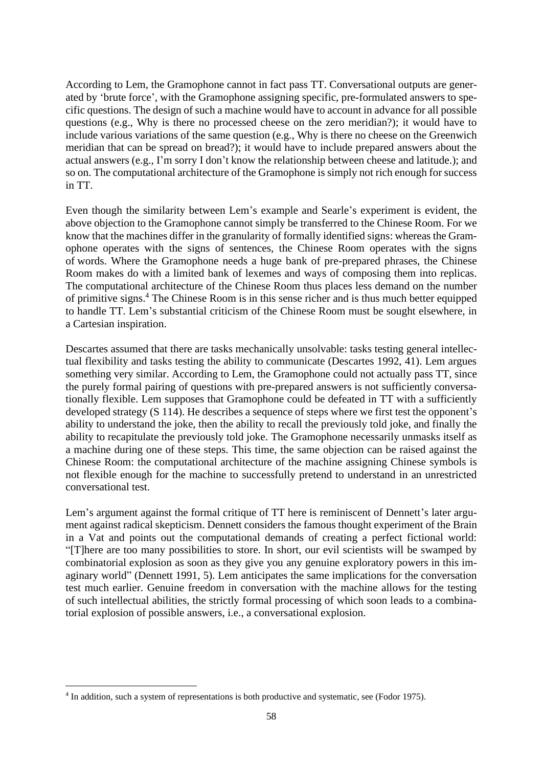According to Lem, the Gramophone cannot in fact pass TT. Conversational outputs are generated by 'brute force', with the Gramophone assigning specific, pre-formulated answers to specific questions. The design of such a machine would have to account in advance for all possible questions (e.g., Why is there no processed cheese on the zero meridian?); it would have to include various variations of the same question (e.g., Why is there no cheese on the Greenwich meridian that can be spread on bread?); it would have to include prepared answers about the actual answers (e.g., I'm sorry I don't know the relationship between cheese and latitude.); and so on. The computational architecture of the Gramophone is simply not rich enough for success in TT.

Even though the similarity between Lem's example and Searle's experiment is evident, the above objection to the Gramophone cannot simply be transferred to the Chinese Room. For we know that the machines differ in the granularity of formally identified signs: whereas the Gramophone operates with the signs of sentences, the Chinese Room operates with the signs of words. Where the Gramophone needs a huge bank of pre-prepared phrases, the Chinese Room makes do with a limited bank of lexemes and ways of composing them into replicas. The computational architecture of the Chinese Room thus places less demand on the number of primitive signs. <sup>4</sup> The Chinese Room is in this sense richer and is thus much better equipped to handle TT. Lem's substantial criticism of the Chinese Room must be sought elsewhere, in a Cartesian inspiration.

Descartes assumed that there are tasks mechanically unsolvable: tasks testing general intellectual flexibility and tasks testing the ability to communicate (Descartes 1992, 41). Lem argues something very similar. According to Lem, the Gramophone could not actually pass TT, since the purely formal pairing of questions with pre-prepared answers is not sufficiently conversationally flexible. Lem supposes that Gramophone could be defeated in TT with a sufficiently developed strategy (S 114). He describes a sequence of steps where we first test the opponent's ability to understand the joke, then the ability to recall the previously told joke, and finally the ability to recapitulate the previously told joke. The Gramophone necessarily unmasks itself as a machine during one of these steps. This time, the same objection can be raised against the Chinese Room: the computational architecture of the machine assigning Chinese symbols is not flexible enough for the machine to successfully pretend to understand in an unrestricted conversational test.

Lem's argument against the formal critique of TT here is reminiscent of Dennett's later argument against radical skepticism. Dennett considers the famous thought experiment of the Brain in a Vat and points out the computational demands of creating a perfect fictional world: "[T]here are too many possibilities to store. In short, our evil scientists will be swamped by combinatorial explosion as soon as they give you any genuine exploratory powers in this imaginary world" (Dennett 1991, 5). Lem anticipates the same implications for the conversation test much earlier. Genuine freedom in conversation with the machine allows for the testing of such intellectual abilities, the strictly formal processing of which soon leads to a combinatorial explosion of possible answers, i.e., a conversational explosion.

<sup>4</sup> In addition, such a system of representations is both productive and systematic, see (Fodor 1975).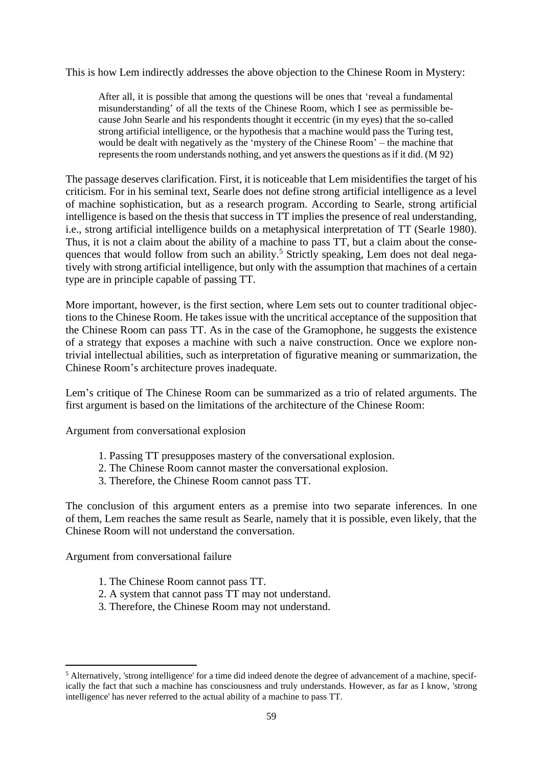This is how Lem indirectly addresses the above objection to the Chinese Room in Mystery:

After all, it is possible that among the questions will be ones that 'reveal a fundamental misunderstanding' of all the texts of the Chinese Room, which I see as permissible because John Searle and his respondents thought it eccentric (in my eyes) that the so-called strong artificial intelligence, or the hypothesis that a machine would pass the Turing test, would be dealt with negatively as the 'mystery of the Chinese Room' – the machine that represents the room understands nothing, and yet answers the questions as if it did. (M 92)

The passage deserves clarification. First, it is noticeable that Lem misidentifies the target of his criticism. For in his seminal text, Searle does not define strong artificial intelligence as a level of machine sophistication, but as a research program. According to Searle, strong artificial intelligence is based on the thesis that success in TT implies the presence of real understanding, i.e., strong artificial intelligence builds on a metaphysical interpretation of TT (Searle 1980). Thus, it is not a claim about the ability of a machine to pass TT, but a claim about the consequences that would follow from such an ability.<sup>5</sup> Strictly speaking, Lem does not deal negatively with strong artificial intelligence, but only with the assumption that machines of a certain type are in principle capable of passing TT.

More important, however, is the first section, where Lem sets out to counter traditional objections to the Chinese Room. He takes issue with the uncritical acceptance of the supposition that the Chinese Room can pass TT. As in the case of the Gramophone, he suggests the existence of a strategy that exposes a machine with such a naive construction. Once we explore nontrivial intellectual abilities, such as interpretation of figurative meaning or summarization, the Chinese Room's architecture proves inadequate.

Lem's critique of The Chinese Room can be summarized as a trio of related arguments. The first argument is based on the limitations of the architecture of the Chinese Room:

Argument from conversational explosion

- 1. Passing TT presupposes mastery of the conversational explosion.
- 2. The Chinese Room cannot master the conversational explosion.
- 3. Therefore, the Chinese Room cannot pass TT.

The conclusion of this argument enters as a premise into two separate inferences. In one of them, Lem reaches the same result as Searle, namely that it is possible, even likely, that the Chinese Room will not understand the conversation.

Argument from conversational failure

- 1. The Chinese Room cannot pass TT.
- 2. A system that cannot pass TT may not understand.
- 3. Therefore, the Chinese Room may not understand.

<sup>5</sup> Alternatively, 'strong intelligence' for a time did indeed denote the degree of advancement of a machine, specifically the fact that such a machine has consciousness and truly understands. However, as far as I know, 'strong intelligence' has never referred to the actual ability of a machine to pass TT.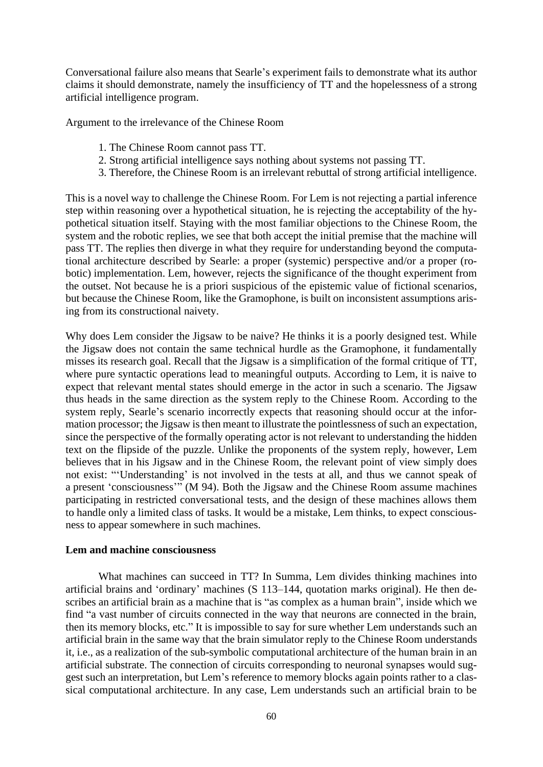Conversational failure also means that Searle's experiment fails to demonstrate what its author claims it should demonstrate, namely the insufficiency of TT and the hopelessness of a strong artificial intelligence program.

Argument to the irrelevance of the Chinese Room

- 1. The Chinese Room cannot pass TT.
- 2. Strong artificial intelligence says nothing about systems not passing TT.
- 3. Therefore, the Chinese Room is an irrelevant rebuttal of strong artificial intelligence.

This is a novel way to challenge the Chinese Room. For Lem is not rejecting a partial inference step within reasoning over a hypothetical situation, he is rejecting the acceptability of the hypothetical situation itself. Staying with the most familiar objections to the Chinese Room, the system and the robotic replies, we see that both accept the initial premise that the machine will pass TT. The replies then diverge in what they require for understanding beyond the computational architecture described by Searle: a proper (systemic) perspective and/or a proper (robotic) implementation. Lem, however, rejects the significance of the thought experiment from the outset. Not because he is a priori suspicious of the epistemic value of fictional scenarios, but because the Chinese Room, like the Gramophone, is built on inconsistent assumptions arising from its constructional naivety.

Why does Lem consider the Jigsaw to be naive? He thinks it is a poorly designed test. While the Jigsaw does not contain the same technical hurdle as the Gramophone, it fundamentally misses its research goal. Recall that the Jigsaw is a simplification of the formal critique of TT, where pure syntactic operations lead to meaningful outputs. According to Lem, it is naive to expect that relevant mental states should emerge in the actor in such a scenario. The Jigsaw thus heads in the same direction as the system reply to the Chinese Room. According to the system reply, Searle's scenario incorrectly expects that reasoning should occur at the information processor; the Jigsaw is then meant to illustrate the pointlessness of such an expectation, since the perspective of the formally operating actor is not relevant to understanding the hidden text on the flipside of the puzzle. Unlike the proponents of the system reply, however, Lem believes that in his Jigsaw and in the Chinese Room, the relevant point of view simply does not exist: "'Understanding' is not involved in the tests at all, and thus we cannot speak of a present 'consciousness'" (M 94). Both the Jigsaw and the Chinese Room assume machines participating in restricted conversational tests, and the design of these machines allows them to handle only a limited class of tasks. It would be a mistake, Lem thinks, to expect consciousness to appear somewhere in such machines.

#### **Lem and machine consciousness**

What machines can succeed in TT? In Summa, Lem divides thinking machines into artificial brains and 'ordinary' machines (S 113–144, quotation marks original). He then describes an artificial brain as a machine that is "as complex as a human brain", inside which we find "a vast number of circuits connected in the way that neurons are connected in the brain, then its memory blocks, etc." It is impossible to say for sure whether Lem understands such an artificial brain in the same way that the brain simulator reply to the Chinese Room understands it, i.e., as a realization of the sub-symbolic computational architecture of the human brain in an artificial substrate. The connection of circuits corresponding to neuronal synapses would suggest such an interpretation, but Lem's reference to memory blocks again points rather to a classical computational architecture. In any case, Lem understands such an artificial brain to be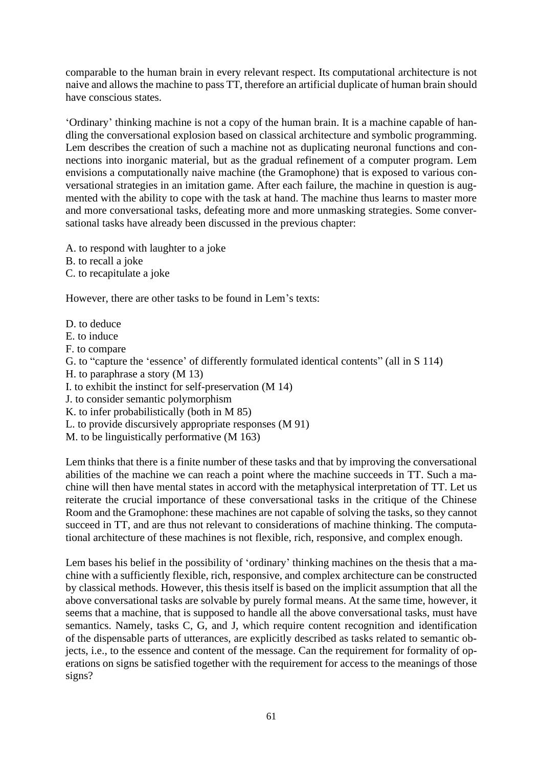comparable to the human brain in every relevant respect. Its computational architecture is not naive and allows the machine to pass TT, therefore an artificial duplicate of human brain should have conscious states.

'Ordinary' thinking machine is not a copy of the human brain. It is a machine capable of handling the conversational explosion based on classical architecture and symbolic programming. Lem describes the creation of such a machine not as duplicating neuronal functions and connections into inorganic material, but as the gradual refinement of a computer program. Lem envisions a computationally naive machine (the Gramophone) that is exposed to various conversational strategies in an imitation game. After each failure, the machine in question is augmented with the ability to cope with the task at hand. The machine thus learns to master more and more conversational tasks, defeating more and more unmasking strategies. Some conversational tasks have already been discussed in the previous chapter:

A. to respond with laughter to a joke

B. to recall a joke

C. to recapitulate a joke

However, there are other tasks to be found in Lem's texts:

D. to deduce E. to induce F. to compare G. to "capture the 'essence' of differently formulated identical contents" (all in S 114) H. to paraphrase a story (M 13) I. to exhibit the instinct for self-preservation (M 14) J. to consider semantic polymorphism K. to infer probabilistically (both in M 85) L. to provide discursively appropriate responses (M 91) M. to be linguistically performative (M 163)

Lem thinks that there is a finite number of these tasks and that by improving the conversational abilities of the machine we can reach a point where the machine succeeds in TT. Such a machine will then have mental states in accord with the metaphysical interpretation of TT. Let us reiterate the crucial importance of these conversational tasks in the critique of the Chinese Room and the Gramophone: these machines are not capable of solving the tasks, so they cannot succeed in TT, and are thus not relevant to considerations of machine thinking. The computational architecture of these machines is not flexible, rich, responsive, and complex enough.

Lem bases his belief in the possibility of 'ordinary' thinking machines on the thesis that a machine with a sufficiently flexible, rich, responsive, and complex architecture can be constructed by classical methods. However, this thesis itself is based on the implicit assumption that all the above conversational tasks are solvable by purely formal means. At the same time, however, it seems that a machine, that is supposed to handle all the above conversational tasks, must have semantics. Namely, tasks C, G, and J, which require content recognition and identification of the dispensable parts of utterances, are explicitly described as tasks related to semantic objects, i.e., to the essence and content of the message. Can the requirement for formality of operations on signs be satisfied together with the requirement for access to the meanings of those signs?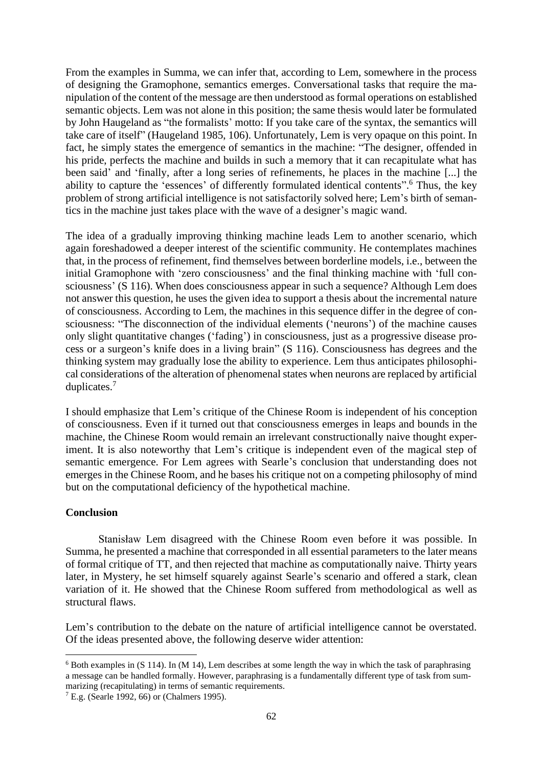From the examples in Summa, we can infer that, according to Lem, somewhere in the process of designing the Gramophone, semantics emerges. Conversational tasks that require the manipulation of the content of the message are then understood as formal operations on established semantic objects. Lem was not alone in this position; the same thesis would later be formulated by John Haugeland as "the formalists' motto: If you take care of the syntax, the semantics will take care of itself" (Haugeland 1985, 106). Unfortunately, Lem is very opaque on this point. In fact, he simply states the emergence of semantics in the machine: "The designer, offended in his pride, perfects the machine and builds in such a memory that it can recapitulate what has been said' and 'finally, after a long series of refinements, he places in the machine [...] the ability to capture the 'essences' of differently formulated identical contents". <sup>6</sup> Thus, the key problem of strong artificial intelligence is not satisfactorily solved here; Lem's birth of semantics in the machine just takes place with the wave of a designer's magic wand.

The idea of a gradually improving thinking machine leads Lem to another scenario, which again foreshadowed a deeper interest of the scientific community. He contemplates machines that, in the process of refinement, find themselves between borderline models, i.e., between the initial Gramophone with 'zero consciousness' and the final thinking machine with 'full consciousness' (S 116). When does consciousness appear in such a sequence? Although Lem does not answer this question, he uses the given idea to support a thesis about the incremental nature of consciousness. According to Lem, the machines in this sequence differ in the degree of consciousness: "The disconnection of the individual elements ('neurons') of the machine causes only slight quantitative changes ('fading') in consciousness, just as a progressive disease process or a surgeon's knife does in a living brain" (S 116). Consciousness has degrees and the thinking system may gradually lose the ability to experience. Lem thus anticipates philosophical considerations of the alteration of phenomenal states when neurons are replaced by artificial duplicates.<sup>7</sup>

I should emphasize that Lem's critique of the Chinese Room is independent of his conception of consciousness. Even if it turned out that consciousness emerges in leaps and bounds in the machine, the Chinese Room would remain an irrelevant constructionally naive thought experiment. It is also noteworthy that Lem's critique is independent even of the magical step of semantic emergence. For Lem agrees with Searle's conclusion that understanding does not emerges in the Chinese Room, and he bases his critique not on a competing philosophy of mind but on the computational deficiency of the hypothetical machine.

### **Conclusion**

Stanisław Lem disagreed with the Chinese Room even before it was possible. In Summa, he presented a machine that corresponded in all essential parameters to the later means of formal critique of TT, and then rejected that machine as computationally naive. Thirty years later, in Mystery, he set himself squarely against Searle's scenario and offered a stark, clean variation of it. He showed that the Chinese Room suffered from methodological as well as structural flaws.

Lem's contribution to the debate on the nature of artificial intelligence cannot be overstated. Of the ideas presented above, the following deserve wider attention:

 $6$  Both examples in (S 114). In (M 14), Lem describes at some length the way in which the task of paraphrasing a message can be handled formally. However, paraphrasing is a fundamentally different type of task from summarizing (recapitulating) in terms of semantic requirements.

 $<sup>7</sup>$  E.g. (Searle 1992, 66) or (Chalmers 1995).</sup>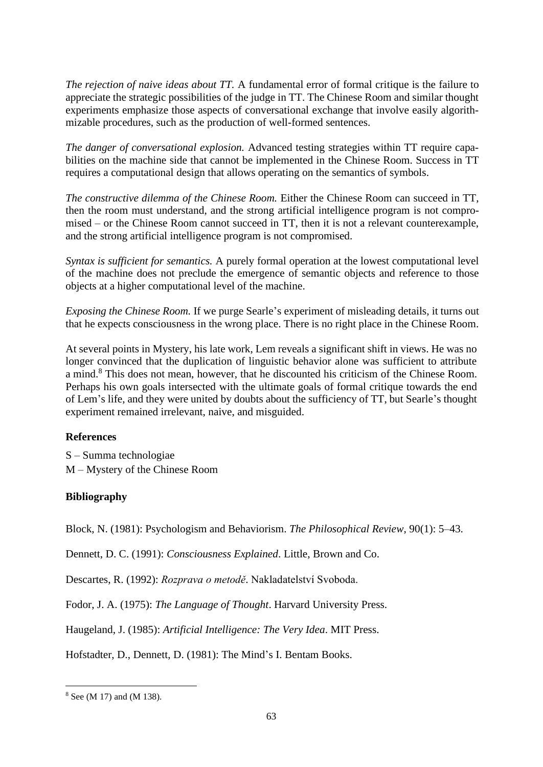*The rejection of naive ideas about TT.* A fundamental error of formal critique is the failure to appreciate the strategic possibilities of the judge in TT. The Chinese Room and similar thought experiments emphasize those aspects of conversational exchange that involve easily algorithmizable procedures, such as the production of well-formed sentences.

*The danger of conversational explosion.* Advanced testing strategies within TT require capabilities on the machine side that cannot be implemented in the Chinese Room. Success in TT requires a computational design that allows operating on the semantics of symbols.

*The constructive dilemma of the Chinese Room.* Either the Chinese Room can succeed in TT, then the room must understand, and the strong artificial intelligence program is not compromised – or the Chinese Room cannot succeed in TT, then it is not a relevant counterexample, and the strong artificial intelligence program is not compromised.

*Syntax is sufficient for semantics.* A purely formal operation at the lowest computational level of the machine does not preclude the emergence of semantic objects and reference to those objects at a higher computational level of the machine.

*Exposing the Chinese Room.* If we purge Searle's experiment of misleading details, it turns out that he expects consciousness in the wrong place. There is no right place in the Chinese Room.

At several points in Mystery, his late work, Lem reveals a significant shift in views. He was no longer convinced that the duplication of linguistic behavior alone was sufficient to attribute a mind.<sup>8</sup> This does not mean, however, that he discounted his criticism of the Chinese Room. Perhaps his own goals intersected with the ultimate goals of formal critique towards the end of Lem's life, and they were united by doubts about the sufficiency of TT, but Searle's thought experiment remained irrelevant, naive, and misguided.

## **References**

S – Summa technologiae M – Mystery of the Chinese Room

## **Bibliography**

Block, N. (1981): Psychologism and Behaviorism. *The Philosophical Review*, 90(1): 5–43.

Dennett, D. C. (1991): *Consciousness Explained*. Little, Brown and Co.

Descartes, R. (1992): *Rozprava o metodě*. Nakladatelství Svoboda.

Fodor, J. A. (1975): *The Language of Thought*. Harvard University Press.

Haugeland, J. (1985): *Artificial Intelligence: The Very Idea*. MIT Press.

Hofstadter, D., Dennett, D. (1981): The Mind's I. Bentam Books.

<sup>8</sup> See (M 17) and (M 138).